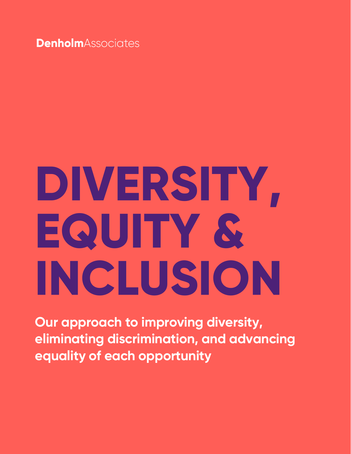**Denholm**Associates

# **DIVERSITY, EQUITY & INCLUSION**

**Our approach to improving diversity, eliminating discrimination, and advancing equality of each opportunity**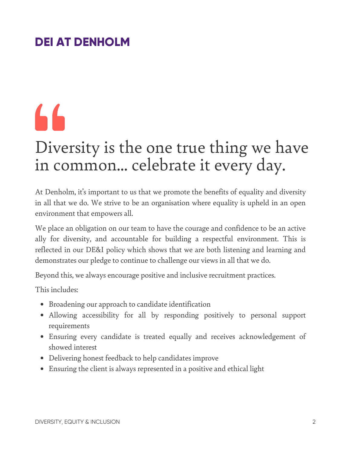#### **DEI AT DENHOLM**

## 66

### Diversity is the one true thing we have in common... celebrate it every day.

At Denholm, it's important to us that we promote the benefits of equality and diversity in all that we do. We strive to be an organisation where equality is upheld in an open environment that empowers all.

We place an obligation on our team to have the courage and confidence to be an active ally for diversity, and accountable for building a respectful environment. This is reflected in our DE&I policy which shows that we are both listening and learning and demonstrates our pledge to continue to challenge our views in all that we do.

Beyond this, we always encourage positive and inclusive recruitment practices.

This includes:

- Broadening our approach to candidate identification
- Allowing accessibility for all by responding positively to personal support requirements
- Ensuring every candidate is treated equally and receives acknowledgement of showed interest
- Delivering honest feedback to help candidates improve
- Ensuring the client is always represented in a positive and ethical light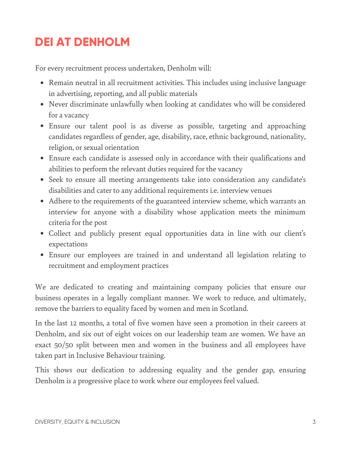#### **DEI AT DENHOLM**

For every recruitment process undertaken, Denholm will:

- Remain neutral in all recruitment activities. This includes using inclusive language in advertising, reporting, and all public materials
- Never discriminate unlawfully when looking at candidates who will be considered for a vacancy
- Ensure our talent pool is as diverse as possible, targeting and approaching candidates regardless of gender, age, disability, race, ethnic background, nationality, religion, or sexual orientation
- Ensure each candidate is assessed only in accordance with their qualifications and abilities to perform the relevant duties required for the vacancy
- Seek to ensure all meeting arrangements take into consideration any candidate's disabilities and cater to any additional requirements i.e. interview venues
- Adhere to the requirements of the guaranteed interview scheme, which warrants an interview for anyone with a disability whose application meets the minimum criteria for the post
- Collect and publicly present equal opportunities data in line with our client's expectations
- Ensure our employees are trained in and understand all legislation relating to recruitment and employment practices

We are dedicated to creating and maintaining company policies that ensure our business operates in a legally compliant manner. We work to reduce, and ultimately, remove the barriers to equality faced by women and men in Scotland.

In the last 12 months, a total of five women have seen a promotion in their careers at Denholm, and six out of eight voices on our leadership team are women. We have an exact 50/50 split between men and women in the business and all employees have taken part in Inclusive Behaviour training.

This shows our dedication to addressing equality and the gender gap, ensuring Denholm is a progressive place to work where our employees feel valued.